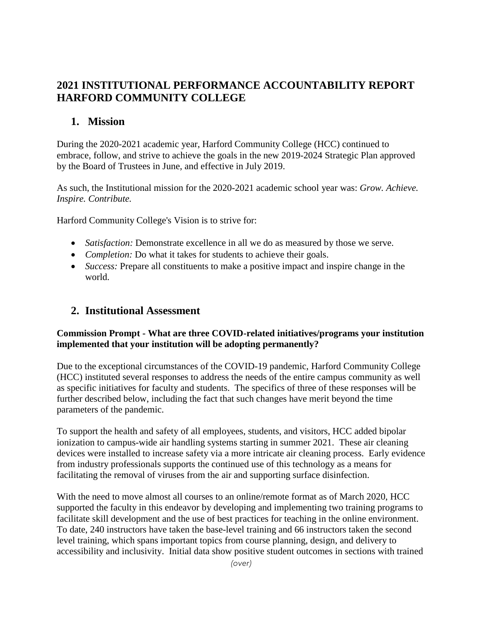# **2021 INSTITUTIONAL PERFORMANCE ACCOUNTABILITY REPORT HARFORD COMMUNITY COLLEGE**

## **1. Mission**

During the 2020-2021 academic year, Harford Community College (HCC) continued to embrace, follow, and strive to achieve the goals in the new 2019-2024 Strategic Plan approved by the Board of Trustees in June, and effective in July 2019.

As such, the Institutional mission for the 2020-2021 academic school year was: *Grow. Achieve. Inspire. Contribute.*

Harford Community College's Vision is to strive for:

- *Satisfaction:* Demonstrate excellence in all we do as measured by those we serve.
- *Completion:* Do what it takes for students to achieve their goals.
- *Success:* Prepare all constituents to make a positive impact and inspire change in the world.

# **2. Institutional Assessment**

### **Commission Prompt - What are three COVID-related initiatives/programs your institution implemented that your institution will be adopting permanently?**

Due to the exceptional circumstances of the COVID-19 pandemic, Harford Community College (HCC) instituted several responses to address the needs of the entire campus community as well as specific initiatives for faculty and students. The specifics of three of these responses will be further described below, including the fact that such changes have merit beyond the time parameters of the pandemic.

To support the health and safety of all employees, students, and visitors, HCC added bipolar ionization to campus-wide air handling systems starting in summer 2021. These air cleaning devices were installed to increase safety via a more intricate air cleaning process. Early evidence from industry professionals supports the continued use of this technology as a means for facilitating the removal of viruses from the air and supporting surface disinfection.

With the need to move almost all courses to an online/remote format as of March 2020, HCC supported the faculty in this endeavor by developing and implementing two training programs to facilitate skill development and the use of best practices for teaching in the online environment. To date, 240 instructors have taken the base-level training and 66 instructors taken the second level training, which spans important topics from course planning, design, and delivery to accessibility and inclusivity. Initial data show positive student outcomes in sections with trained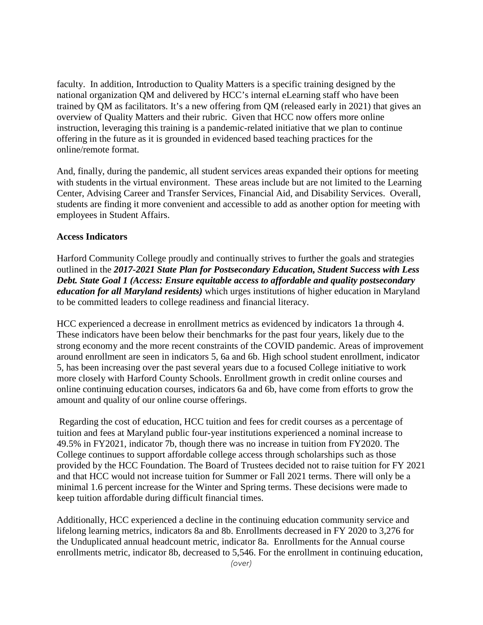faculty. In addition, Introduction to Quality Matters is a specific training designed by the national organization QM and delivered by HCC's internal eLearning staff who have been trained by QM as facilitators. It's a new offering from QM (released early in 2021) that gives an overview of Quality Matters and their rubric. Given that HCC now offers more online instruction, leveraging this training is a pandemic-related initiative that we plan to continue offering in the future as it is grounded in evidenced based teaching practices for the online/remote format.

And, finally, during the pandemic, all student services areas expanded their options for meeting with students in the virtual environment. These areas include but are not limited to the Learning Center, Advising Career and Transfer Services, Financial Aid, and Disability Services. Overall, students are finding it more convenient and accessible to add as another option for meeting with employees in Student Affairs.

### **Access Indicators**

Harford Community College proudly and continually strives to further the goals and strategies outlined in the *2017-2021 State Plan for Postsecondary Education, Student Success with Less Debt. State Goal 1 (Access: Ensure equitable access to affordable and quality postsecondary education for all Maryland residents)* which urges institutions of higher education in Maryland to be committed leaders to college readiness and financial literacy.

HCC experienced a decrease in enrollment metrics as evidenced by indicators 1a through 4. These indicators have been below their benchmarks for the past four years, likely due to the strong economy and the more recent constraints of the COVID pandemic. Areas of improvement around enrollment are seen in indicators 5, 6a and 6b. High school student enrollment, indicator 5, has been increasing over the past several years due to a focused College initiative to work more closely with Harford County Schools. Enrollment growth in credit online courses and online continuing education courses, indicators 6a and 6b, have come from efforts to grow the amount and quality of our online course offerings.

Regarding the cost of education, HCC tuition and fees for credit courses as a percentage of tuition and fees at Maryland public four-year institutions experienced a nominal increase to 49.5% in FY2021, indicator 7b, though there was no increase in tuition from FY2020. The College continues to support affordable college access through scholarships such as those provided by the HCC Foundation. The Board of Trustees decided not to raise tuition for FY 2021 and that HCC would not increase tuition for Summer or Fall 2021 terms. There will only be a minimal 1.6 percent increase for the Winter and Spring terms. These decisions were made to keep tuition affordable during difficult financial times.

Additionally, HCC experienced a decline in the continuing education community service and lifelong learning metrics, indicators 8a and 8b. Enrollments decreased in FY 2020 to 3,276 for the Unduplicated annual headcount metric, indicator 8a. Enrollments for the Annual course enrollments metric, indicator 8b, decreased to 5,546. For the enrollment in continuing education,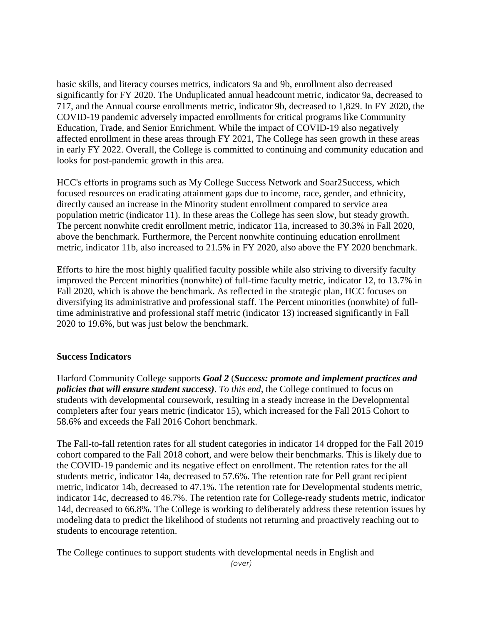basic skills, and literacy courses metrics, indicators 9a and 9b, enrollment also decreased significantly for FY 2020. The Unduplicated annual headcount metric, indicator 9a, decreased to 717, and the Annual course enrollments metric, indicator 9b, decreased to 1,829. In FY 2020, the COVID-19 pandemic adversely impacted enrollments for critical programs like Community Education, Trade, and Senior Enrichment. While the impact of COVID-19 also negatively affected enrollment in these areas through FY 2021, The College has seen growth in these areas in early FY 2022. Overall, the College is committed to continuing and community education and looks for post-pandemic growth in this area.

HCC's efforts in programs such as My College Success Network and Soar2Success, which focused resources on eradicating attainment gaps due to income, race, gender, and ethnicity, directly caused an increase in the Minority student enrollment compared to service area population metric (indicator 11). In these areas the College has seen slow, but steady growth. The percent nonwhite credit enrollment metric, indicator 11a, increased to 30.3% in Fall 2020, above the benchmark. Furthermore, the Percent nonwhite continuing education enrollment metric, indicator 11b, also increased to 21.5% in FY 2020, also above the FY 2020 benchmark.

Efforts to hire the most highly qualified faculty possible while also striving to diversify faculty improved the Percent minorities (nonwhite) of full-time faculty metric, indicator 12, to 13.7% in Fall 2020, which is above the benchmark. As reflected in the strategic plan, HCC focuses on diversifying its administrative and professional staff. The Percent minorities (nonwhite) of fulltime administrative and professional staff metric (indicator 13) increased significantly in Fall 2020 to 19.6%, but was just below the benchmark.

### **Success Indicators**

Harford Community College supports *Goal 2* (*Success: promote and implement practices and policies that will ensure student success)*. *To this end,* the College continued to focus on students with developmental coursework, resulting in a steady increase in the Developmental completers after four years metric (indicator 15), which increased for the Fall 2015 Cohort to 58.6% and exceeds the Fall 2016 Cohort benchmark.

The Fall-to-fall retention rates for all student categories in indicator 14 dropped for the Fall 2019 cohort compared to the Fall 2018 cohort, and were below their benchmarks. This is likely due to the COVID-19 pandemic and its negative effect on enrollment. The retention rates for the all students metric, indicator 14a, decreased to 57.6%. The retention rate for Pell grant recipient metric, indicator 14b, decreased to 47.1%. The retention rate for Developmental students metric, indicator 14c, decreased to 46.7%. The retention rate for College-ready students metric, indicator 14d, decreased to 66.8%. The College is working to deliberately address these retention issues by modeling data to predict the likelihood of students not returning and proactively reaching out to students to encourage retention.

The College continues to support students with developmental needs in English and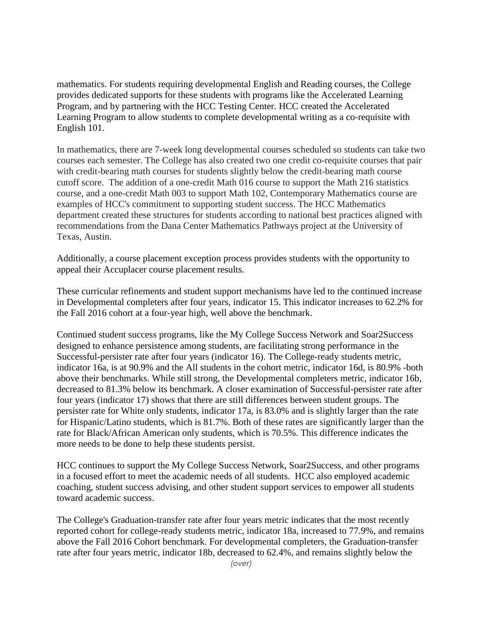mathematics. For students requiring developmental English and Reading courses, the College provides dedicated supports for these students with programs like the Accelerated Learning Program, and by partnering with the HCC Testing Center. HCC created the Accelerated Learning Program to allow students to complete developmental writing as a co-requisite with English 101.

In mathematics, there are 7-week long developmental courses scheduled so students can take two courses each semester. The College has also created two one credit co-requisite courses that pair with credit-bearing math courses for students slightly below the credit-bearing math course cutoff score. The addition of a one-credit Math 016 course to support the Math 216 statistics course, and a one-credit Math 003 to support Math 102, Contemporary Mathematics course are examples of HCC's commitment to supporting student success. The HCC Mathematics department created these structures for students according to national best practices aligned with recommendations from the Dana Center Mathematics Pathways project at the University of Texas, Austin.

Additionally, a course placement exception process provides students with the opportunity to appeal their Accuplacer course placement results.

These curricular refinements and student support mechanisms have led to the continued increase in Developmental completers after four years, indicator 15. This indicator increases to 62.2% for the Fall 2016 cohort at a four-year high, well above the benchmark.

Continued student success programs, like the My College Success Network and Soar2Success designed to enhance persistence among students, are facilitating strong performance in the Successful-persister rate after four years (indicator 16). The College-ready students metric, indicator 16a, is at 90.9% and the All students in the cohort metric, indicator 16d, is 80.9% -both above their benchmarks. While still strong, the Developmental completers metric, indicator 16b, decreased to 81.3% below its benchmark. A closer examination of Successful-persister rate after four years (indicator 17) shows that there are still differences between student groups. The persister rate for White only students, indicator 17a, is 83.0% and is slightly larger than the rate for Hispanic/Latino students, which is 81.7%. Both of these rates are significantly larger than the rate for Black/African American only students, which is 70.5%. This difference indicates the more needs to be done to help these students persist.

HCC continues to support the My College Success Network, Soar2Success, and other programs in a focused effort to meet the academic needs of all students. HCC also employed academic coaching, student success advising, and other student support services to empower all students toward academic success.

The College's Graduation-transfer rate after four years metric indicates that the most recently reported cohort for college-ready students metric, indicator 18a, increased to 77.9%, and remains above the Fall 2016 Cohort benchmark. For developmental completers, the Graduation-transfer rate after four years metric, indicator 18b, decreased to 62.4%, and remains slightly below the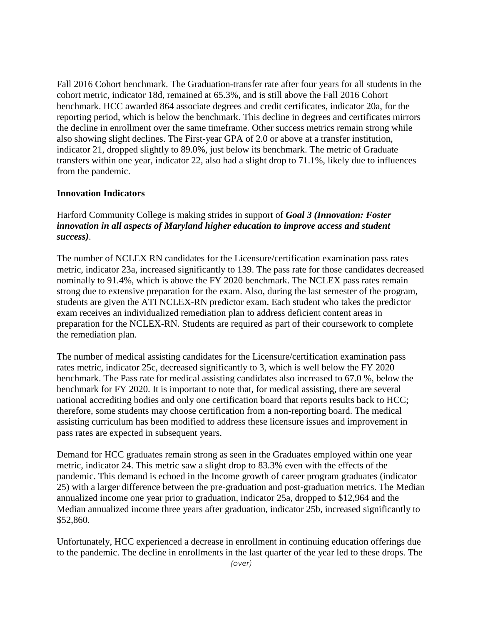Fall 2016 Cohort benchmark. The Graduation-transfer rate after four years for all students in the cohort metric, indicator 18d, remained at 65.3%, and is still above the Fall 2016 Cohort benchmark. HCC awarded 864 associate degrees and credit certificates, indicator 20a, for the reporting period, which is below the benchmark. This decline in degrees and certificates mirrors the decline in enrollment over the same timeframe. Other success metrics remain strong while also showing slight declines. The First-year GPA of 2.0 or above at a transfer institution, indicator 21, dropped slightly to 89.0%, just below its benchmark. The metric of Graduate transfers within one year, indicator 22, also had a slight drop to 71.1%, likely due to influences from the pandemic.

### **Innovation Indicators**

Harford Community College is making strides in support of *Goal 3 (Innovation: Foster innovation in all aspects of Maryland higher education to improve access and student success)*.

The number of NCLEX RN candidates for the Licensure/certification examination pass rates metric, indicator 23a, increased significantly to 139. The pass rate for those candidates decreased nominally to 91.4%, which is above the FY 2020 benchmark. The NCLEX pass rates remain strong due to extensive preparation for the exam. Also, during the last semester of the program, students are given the ATI NCLEX-RN predictor exam. Each student who takes the predictor exam receives an individualized remediation plan to address deficient content areas in preparation for the NCLEX-RN. Students are required as part of their coursework to complete the remediation plan.

The number of medical assisting candidates for the Licensure/certification examination pass rates metric, indicator 25c, decreased significantly to 3, which is well below the FY 2020 benchmark. The Pass rate for medical assisting candidates also increased to 67.0 %, below the benchmark for FY 2020. It is important to note that, for medical assisting, there are several national accrediting bodies and only one certification board that reports results back to HCC; therefore, some students may choose certification from a non-reporting board. The medical assisting curriculum has been modified to address these licensure issues and improvement in pass rates are expected in subsequent years.

Demand for HCC graduates remain strong as seen in the Graduates employed within one year metric, indicator 24. This metric saw a slight drop to 83.3% even with the effects of the pandemic. This demand is echoed in the Income growth of career program graduates (indicator 25) with a larger difference between the pre-graduation and post-graduation metrics. The Median annualized income one year prior to graduation, indicator 25a, dropped to \$12,964 and the Median annualized income three years after graduation, indicator 25b, increased significantly to \$52,860.

Unfortunately, HCC experienced a decrease in enrollment in continuing education offerings due to the pandemic. The decline in enrollments in the last quarter of the year led to these drops. The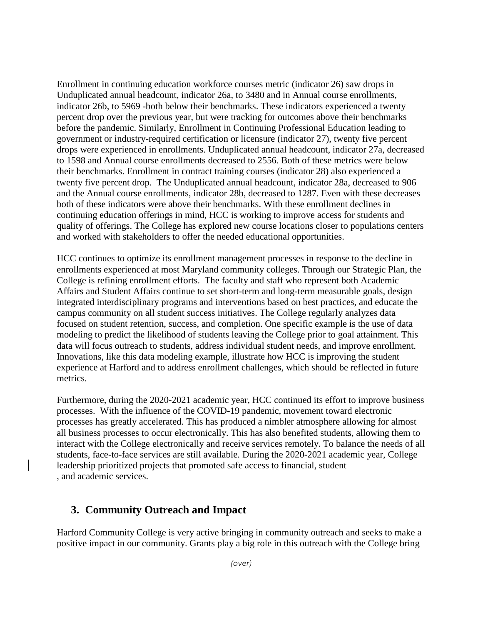Enrollment in continuing education workforce courses metric (indicator 26) saw drops in Unduplicated annual headcount, indicator 26a, to 3480 and in Annual course enrollments, indicator 26b, to 5969 -both below their benchmarks. These indicators experienced a twenty percent drop over the previous year, but were tracking for outcomes above their benchmarks before the pandemic. Similarly, Enrollment in Continuing Professional Education leading to government or industry-required certification or licensure (indicator 27), twenty five percent drops were experienced in enrollments. Unduplicated annual headcount, indicator 27a, decreased to 1598 and Annual course enrollments decreased to 2556. Both of these metrics were below their benchmarks. Enrollment in contract training courses (indicator 28) also experienced a twenty five percent drop. The Unduplicated annual headcount, indicator 28a, decreased to 906 and the Annual course enrollments, indicator 28b, decreased to 1287. Even with these decreases both of these indicators were above their benchmarks. With these enrollment declines in continuing education offerings in mind, HCC is working to improve access for students and quality of offerings. The College has explored new course locations closer to populations centers and worked with stakeholders to offer the needed educational opportunities.

HCC continues to optimize its enrollment management processes in response to the decline in enrollments experienced at most Maryland community colleges. Through our Strategic Plan, the College is refining enrollment efforts. The faculty and staff who represent both Academic Affairs and Student Affairs continue to set short-term and long-term measurable goals, design integrated interdisciplinary programs and interventions based on best practices, and educate the campus community on all student success initiatives. The College regularly analyzes data focused on student retention, success, and completion. One specific example is the use of data modeling to predict the likelihood of students leaving the College prior to goal attainment. This data will focus outreach to students, address individual student needs, and improve enrollment. Innovations, like this data modeling example, illustrate how HCC is improving the student experience at Harford and to address enrollment challenges, which should be reflected in future metrics.

Furthermore, during the 2020-2021 academic year, HCC continued its effort to improve business processes. With the influence of the COVID-19 pandemic, movement toward electronic processes has greatly accelerated. This has produced a nimbler atmosphere allowing for almost all business processes to occur electronically. This has also benefited students, allowing them to interact with the College electronically and receive services remotely. To balance the needs of all students, face-to-face services are still available. During the 2020-2021 academic year, College leadership prioritized projects that promoted safe access to financial, student , and academic services.

## **3. Community Outreach and Impact**

Harford Community College is very active bringing in community outreach and seeks to make a positive impact in our community. Grants play a big role in this outreach with the College bring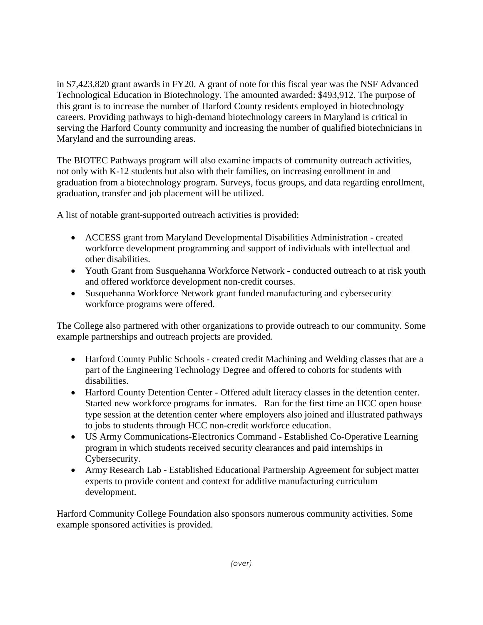in \$7,423,820 grant awards in FY20. A grant of note for this fiscal year was the NSF Advanced Technological Education in Biotechnology. The amounted awarded: \$493,912. The purpose of this grant is to increase the number of Harford County residents employed in biotechnology careers. Providing pathways to high-demand biotechnology careers in Maryland is critical in serving the Harford County community and increasing the number of qualified biotechnicians in Maryland and the surrounding areas.

The BIOTEC Pathways program will also examine impacts of community outreach activities, not only with K-12 students but also with their families, on increasing enrollment in and graduation from a biotechnology program. Surveys, focus groups, and data regarding enrollment, graduation, transfer and job placement will be utilized.

A list of notable grant-supported outreach activities is provided:

- ACCESS grant from Maryland Developmental Disabilities Administration created workforce development programming and support of individuals with intellectual and other disabilities.
- Youth Grant from Susquehanna Workforce Network conducted outreach to at risk youth and offered workforce development non-credit courses.
- Susquehanna Workforce Network grant funded manufacturing and cybersecurity workforce programs were offered.

The College also partnered with other organizations to provide outreach to our community. Some example partnerships and outreach projects are provided.

- Harford County Public Schools created credit Machining and Welding classes that are a part of the Engineering Technology Degree and offered to cohorts for students with disabilities.
- Harford County Detention Center Offered adult literacy classes in the detention center. Started new workforce programs for inmates. Ran for the first time an HCC open house type session at the detention center where employers also joined and illustrated pathways to jobs to students through HCC non-credit workforce education.
- US Army Communications-Electronics Command Established Co-Operative Learning program in which students received security clearances and paid internships in Cybersecurity.
- Army Research Lab Established Educational Partnership Agreement for subject matter experts to provide content and context for additive manufacturing curriculum development.

Harford Community College Foundation also sponsors numerous community activities. Some example sponsored activities is provided.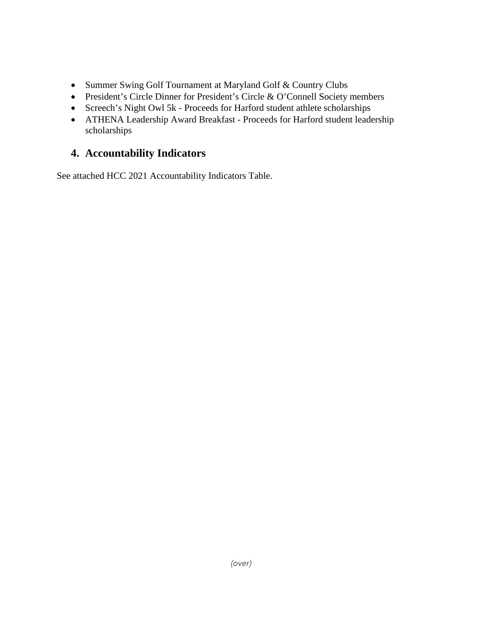- Summer Swing Golf Tournament at Maryland Golf & Country Clubs
- President's Circle Dinner for President's Circle & O'Connell Society members
- Screech's Night Owl 5k Proceeds for Harford student athlete scholarships
- ATHENA Leadership Award Breakfast Proceeds for Harford student leadership scholarships

# **4. Accountability Indicators**

See attached HCC 2021 Accountability Indicators Table.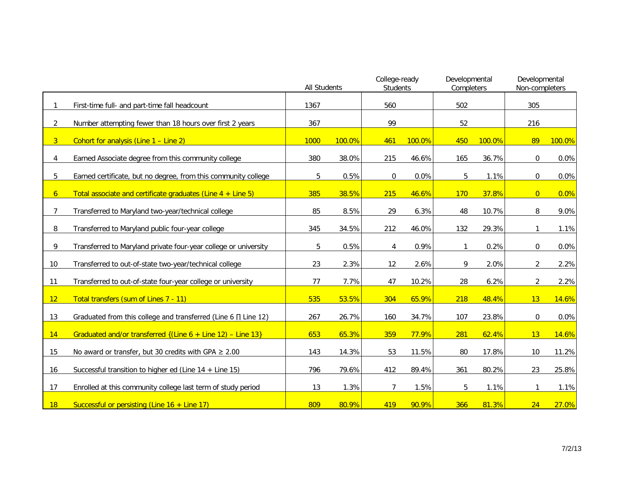|                 |                                                                    | <b>All Students</b> |        | College-ready<br><b>Students</b> |        | Developmental<br>Completers |        | Developmental<br>Non-completers |        |
|-----------------|--------------------------------------------------------------------|---------------------|--------|----------------------------------|--------|-----------------------------|--------|---------------------------------|--------|
|                 | First-time full- and part-time fall headcount                      | 1367                |        | 560                              |        | 502                         |        | 305                             |        |
| $\overline{2}$  | Number attempting fewer than 18 hours over first 2 years           | 367                 |        | 99                               |        | 52                          |        | 216                             |        |
| 3 <sup>1</sup>  | Cohort for analysis (Line 1 - Line 2)                              | 1000                | 100.0% | 461                              | 100.0% | 450                         | 100.0% | 89                              | 100.0% |
| 4               | Earned Associate degree from this community college                | 380                 | 38.0%  | 215                              | 46.6%  | 165                         | 36.7%  | $\Omega$                        | 0.0%   |
| 5               | Earned certificate, but no degree, from this community college     | 5                   | 0.5%   | 0                                | 0.0%   | 5                           | 1.1%   | 0                               | 0.0%   |
| 6 <sup>1</sup>  | Total associate and certificate graduates (Line $4 +$ Line 5)      | 385                 | 38.5%  | 215                              | 46.6%  | <b>170</b>                  | 37.8%  | $\overline{0}$                  | 0.0%   |
| 7               | Transferred to Maryland two-year/technical college                 | 85                  | 8.5%   | 29                               | 6.3%   | 48                          | 10.7%  | 8                               | 9.0%   |
| 8               | Transferred to Maryland public four-year college                   | 345                 | 34.5%  | 212                              | 46.0%  | 132                         | 29.3%  | 1                               | 1.1%   |
| 9               | Transferred to Maryland private four-year college or university    | 5                   | 0.5%   | 4                                | 0.9%   | 1                           | 0.2%   | 0                               | 0.0%   |
| 10 <sup>°</sup> | Transferred to out-of-state two-year/technical college             | 23                  | 2.3%   | 12                               | 2.6%   | 9                           | 2.0%   | $\overline{2}$                  | 2.2%   |
| 11              | Transferred to out-of-state four-year college or university        | 77                  | 7.7%   | 47                               | 10.2%  | 28                          | 6.2%   | 2                               | 2.2%   |
| 12              | Total transfers (sum of Lines 7 - 11)                              | 535                 | 53.5%  | 304                              | 65.9%  | 218                         | 48.4%  | 13                              | 14.6%  |
| 13              | Graduated from this college and transferred (Line $6 \Pi$ Line 12) | 267                 | 26.7%  | 160                              | 34.7%  | 107                         | 23.8%  | 0                               | 0.0%   |
| 14              | Graduated and/or transferred $\{$ (Line 6 + Line 12) – Line 13}    | 653                 | 65.3%  | 359                              | 77.9%  | 281                         | 62.4%  | 13                              | 14.6%  |
| 15              | No award or transfer, but 30 credits with GPA $\geq 2.00$          | 143                 | 14.3%  | 53                               | 11.5%  | 80                          | 17.8%  | 10                              | 11.2%  |
| 16              | Successful transition to higher ed (Line $14 +$ Line 15)           | 796                 | 79.6%  | 412                              | 89.4%  | 361                         | 80.2%  | 23                              | 25.8%  |
| 17              | Enrolled at this community college last term of study period       | 13                  | 1.3%   | $\overline{7}$                   | 1.5%   | 5                           | 1.1%   | 1                               | 1.1%   |
| 18              | Successful or persisting (Line $16 +$ Line 17)                     | 809                 | 80.9%  | 419                              | 90.9%  | 366                         | 81.3%  | 24                              | 27.0%  |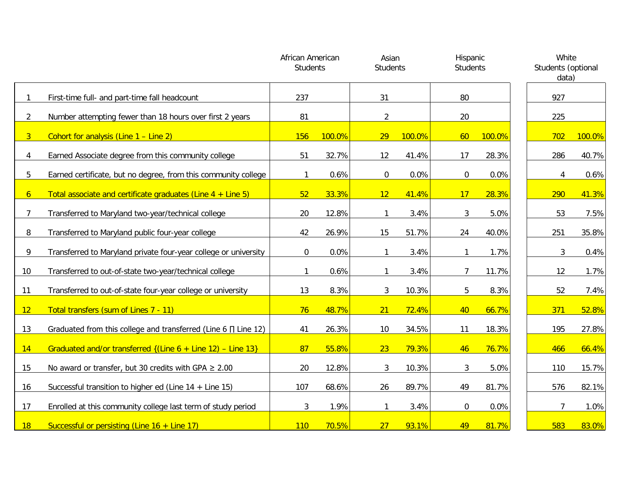|                |                                                                    | African American<br><b>Students</b> |        | Asian<br><b>Students</b> |        | Hispanic<br><b>Students</b> |        | White<br>Students (optional<br>data) |        |
|----------------|--------------------------------------------------------------------|-------------------------------------|--------|--------------------------|--------|-----------------------------|--------|--------------------------------------|--------|
| 1              | First-time full- and part-time fall headcount                      | 237                                 |        | 31                       |        | 80                          |        | 927                                  |        |
| $\overline{2}$ | Number attempting fewer than 18 hours over first 2 years           | 81                                  |        | $\overline{2}$           |        | 20                          |        | 225                                  |        |
| 3 <sup>1</sup> | Cohort for analysis (Line 1 - Line 2)                              | 156                                 | 100.0% | 29                       | 100.0% | 60                          | 100.0% | 702                                  | 100.0% |
| 4              | Earned Associate degree from this community college                | 51                                  | 32.7%  | 12                       | 41.4%  | 17                          | 28.3%  | 286                                  | 40.7%  |
| 5              | Earned certificate, but no degree, from this community college     |                                     | 0.6%   | $\mathbf 0$              | 0.0%   | $\boldsymbol{0}$            | 0.0%   | 4                                    | 0.6%   |
| 6 <sup>1</sup> | Total associate and certificate graduates (Line $4 +$ Line 5)      | 52                                  | 33.3%  | 12                       | 41.4%  | 17                          | 28.3%  | 290                                  | 41.3%  |
| $\overline{7}$ | Transferred to Maryland two-year/technical college                 | 20                                  | 12.8%  |                          | 3.4%   | 3                           | 5.0%   | 53                                   | 7.5%   |
| 8              | Transferred to Maryland public four-year college                   | 42                                  | 26.9%  | 15                       | 51.7%  | 24                          | 40.0%  | 251                                  | 35.8%  |
| 9              | Transferred to Maryland private four-year college or university    | $\mathbf 0$                         | 0.0%   | $\mathbf{1}$             | 3.4%   | $\mathbf{1}$                | 1.7%   | 3                                    | 0.4%   |
| 10             | Transferred to out-of-state two-year/technical college             |                                     | 0.6%   | $\mathbf{1}$             | 3.4%   | 7                           | 11.7%  | 12                                   | 1.7%   |
| 11             | Transferred to out-of-state four-year college or university        | 13                                  | 8.3%   | 3                        | 10.3%  | 5                           | 8.3%   | 52                                   | 7.4%   |
| 12             | Total transfers (sum of Lines 7 - 11)                              | 76                                  | 48.7%  | 21                       | 72.4%  | 40                          | 66.7%  | 371                                  | 52.8%  |
| 13             | Graduated from this college and transferred (Line 6 $\Pi$ Line 12) | 41                                  | 26.3%  | 10                       | 34.5%  | 11                          | 18.3%  | 195                                  | 27.8%  |
| 14             | Graduated and/or transferred $\{$ (Line 6 + Line 12) – Line 13}    | 87                                  | 55.8%  | 23                       | 79.3%  | 46                          | 76.7%  | 466                                  | 66.4%  |
| 15             | No award or transfer, but 30 credits with GPA $\geq 2.00$          | 20                                  | 12.8%  | $\mathbf{3}$             | 10.3%  | 3                           | 5.0%   | 110                                  | 15.7%  |
| 16             | Successful transition to higher ed (Line $14 +$ Line 15)           | 107                                 | 68.6%  | 26                       | 89.7%  | 49                          | 81.7%  | 576                                  | 82.1%  |
| 17             | Enrolled at this community college last term of study period       | 3                                   | 1.9%   | $\mathbf{1}$             | 3.4%   | 0                           | 0.0%   | 7                                    | 1.0%   |
| 18             | Successful or persisting (Line $16 +$ Line 17)                     | 110                                 | 70.5%  | 27                       | 93.1%  | 49                          | 81.7%  | 583                                  | 83.0%  |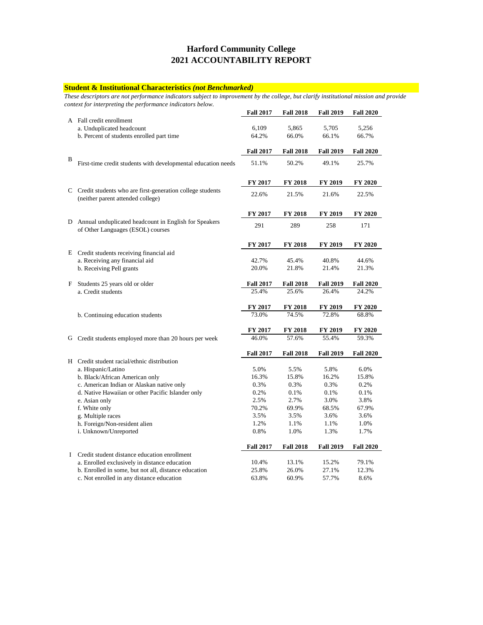#### **Student & Institutional Characteristics** *(not Benchmarked)*

*These descriptors are not performance indicators subject to improvement by the college, but clarify institutional mission and provide context for interpreting the performance indicators below.* 

|   |                                                                                                  | <b>Fall 2017</b> | <b>Fall 2018</b> | <b>Fall 2019</b> | <b>Fall 2020</b> |
|---|--------------------------------------------------------------------------------------------------|------------------|------------------|------------------|------------------|
|   | A Fall credit enrollment                                                                         |                  |                  |                  |                  |
|   | a. Unduplicated headcount                                                                        | 6,109            | 5,865            | 5,705            | 5,256            |
|   | b. Percent of students enrolled part time                                                        | 64.2%            | 66.0%            | 66.1%            | 66.7%            |
|   |                                                                                                  | <b>Fall 2017</b> | <b>Fall 2018</b> | <b>Fall 2019</b> | <b>Fall 2020</b> |
| B | First-time credit students with developmental education needs                                    | 51.1%            | 50.2%            | 49.1%            | 25.7%            |
|   |                                                                                                  | FY 2017          | FY 2018          | FY 2019          | FY 2020          |
|   | C Credit students who are first-generation college students<br>(neither parent attended college) | 22.6%            | 21.5%            | 21.6%            | 22.5%            |
|   |                                                                                                  | <b>FY 2017</b>   | <b>FY 2018</b>   | <b>FY 2019</b>   | FY 2020          |
|   | D Annual unduplicated headcount in English for Speakers<br>of Other Languages (ESOL) courses     | 291              | 289              | 258              | 171              |
|   |                                                                                                  | <b>FY 2017</b>   | <b>FY 2018</b>   | FY 2019          | FY 2020          |
|   | E Credit students receiving financial aid                                                        |                  |                  |                  |                  |
|   | a. Receiving any financial aid                                                                   | 42.7%            | 45.4%            | 40.8%            | 44.6%            |
|   | b. Receiving Pell grants                                                                         | 20.0%            | 21.8%            | 21.4%            | 21.3%            |
| F | Students 25 years old or older                                                                   | <b>Fall 2017</b> | <b>Fall 2018</b> | <b>Fall 2019</b> | <b>Fall 2020</b> |
|   | a. Credit students                                                                               | 25.4%            | 25.6%            | 26.4%            | 24.2%            |
|   |                                                                                                  | <b>FY 2017</b>   | <b>FY 2018</b>   | <b>FY 2019</b>   | FY 2020          |
|   | b. Continuing education students                                                                 | 73.0%            | 74.5%            | 72.8%            | 68.8%            |
|   |                                                                                                  | <b>FY 2017</b>   | <b>FY 2018</b>   | <b>FY 2019</b>   | FY 2020          |
| G | Credit students employed more than 20 hours per week                                             | 46.0%            | 57.6%            | 55.4%            | 59.3%            |
|   |                                                                                                  | <b>Fall 2017</b> | <b>Fall 2018</b> | <b>Fall 2019</b> | <b>Fall 2020</b> |
|   | H Credit student racial/ethnic distribution                                                      |                  |                  |                  |                  |
|   | a. Hispanic/Latino                                                                               | 5.0%             | 5.5%             | 5.8%             | 6.0%             |
|   | b. Black/African American only                                                                   | 16.3%            | 15.8%            | 16.2%            | 15.8%            |
|   | c. American Indian or Alaskan native only                                                        | 0.3%             | 0.3%             | 0.3%             | 0.2%             |
|   | d. Native Hawaiian or other Pacific Islander only                                                | 0.2%             | 0.1%             | 0.1%             | 0.1%             |
|   | e. Asian only                                                                                    | 2.5%             | 2.7%             | 3.0%             | 3.8%             |
|   | f. White only                                                                                    | 70.2%            | 69.9%            | 68.5%            | 67.9%            |
|   | g. Multiple races                                                                                | 3.5%             | 3.5%             | 3.6%             | 3.6%             |
|   | h. Foreign/Non-resident alien                                                                    | 1.2%             | 1.1%             | 1.1%             | 1.0%             |
|   | i. Unknown/Unreported                                                                            | 0.8%             | 1.0%             | 1.3%             | 1.7%             |
|   |                                                                                                  | <b>Fall 2017</b> | <b>Fall 2018</b> | <b>Fall 2019</b> | <b>Fall 2020</b> |
| L | Credit student distance education enrollment                                                     |                  |                  |                  |                  |
|   | a. Enrolled exclusively in distance education                                                    | 10.4%            | 13.1%            | 15.2%            | 79.1%            |
|   | b. Enrolled in some, but not all, distance education                                             | 25.8%            | 26.0%            | 27.1%            | 12.3%            |
|   | c. Not enrolled in any distance education                                                        | 63.8%            | 60.9%            | 57.7%            | 8.6%             |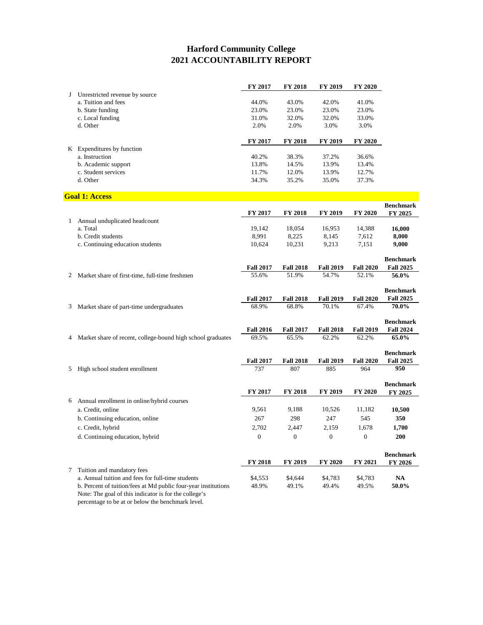|   |                                                                                 | FY 2017          | <b>FY 2018</b>   | <b>FY 2019</b>   | FY 2020          |                  |
|---|---------------------------------------------------------------------------------|------------------|------------------|------------------|------------------|------------------|
| J | Unrestricted revenue by source                                                  |                  |                  |                  |                  |                  |
|   | a. Tuition and fees                                                             | 44.0%            | 43.0%            | 42.0%            | 41.0%            |                  |
|   | b. State funding                                                                | 23.0%            | 23.0%            | 23.0%            | 23.0%            |                  |
|   | c. Local funding                                                                | 31.0%            | 32.0%            | 32.0%            | 33.0%            |                  |
|   | d. Other                                                                        | 2.0%             | 2.0%             | 3.0%             | 3.0%             |                  |
|   |                                                                                 |                  |                  |                  |                  |                  |
|   |                                                                                 | FY 2017          | FY 2018          | FY 2019          | FY 2020          |                  |
|   | K Expenditures by function                                                      |                  |                  |                  |                  |                  |
|   | a. Instruction                                                                  | 40.2%            | 38.3%            | 37.2%            | 36.6%            |                  |
|   | b. Academic support                                                             | 13.8%            | 14.5%            | 13.9%            | 13.4%            |                  |
|   | c. Student services                                                             |                  |                  |                  |                  |                  |
|   |                                                                                 | 11.7%            | 12.0%            | 13.9%            | 12.7%            |                  |
|   | d. Other                                                                        | 34.3%            | 35.2%            | 35.0%            | 37.3%            |                  |
|   | <b>Goal 1: Access</b>                                                           |                  |                  |                  |                  |                  |
|   |                                                                                 |                  |                  |                  |                  | <b>Benchmark</b> |
|   |                                                                                 | <b>FY 2017</b>   | <b>FY 2018</b>   | <b>FY 2019</b>   | FY 2020          | FY 2025          |
| 1 | Annual unduplicated headcount                                                   |                  |                  |                  |                  |                  |
|   | a. Total                                                                        | 19,142           | 18,054           | 16,953           | 14,388           | 16,000           |
|   | b. Credit students                                                              | 8,991            | 8,225            | 8,145            | 7,612            | 8,000            |
|   | c. Continuing education students                                                |                  | 10,231           | 9,213            |                  | 9,000            |
|   |                                                                                 | 10,624           |                  |                  | 7,151            |                  |
|   |                                                                                 |                  |                  |                  |                  | <b>Benchmark</b> |
|   |                                                                                 | <b>Fall 2017</b> | <b>Fall 2018</b> | <b>Fall 2019</b> | <b>Fall 2020</b> | <b>Fall 2025</b> |
| 2 | Market share of first-time, full-time freshmen                                  | 55.6%            | 51.9%            | 54.7%            | 52.1%            | 56.0%            |
|   |                                                                                 |                  |                  |                  |                  |                  |
|   |                                                                                 |                  |                  |                  |                  | <b>Benchmark</b> |
|   |                                                                                 | <b>Fall 2017</b> | <b>Fall 2018</b> | <b>Fall 2019</b> | <b>Fall 2020</b> | <b>Fall 2025</b> |
| 3 | Market share of part-time undergraduates                                        | 68.9%            | 68.8%            | 70.1%            | 67.4%            | 70.0%            |
|   |                                                                                 |                  |                  |                  |                  |                  |
|   |                                                                                 |                  |                  |                  |                  | <b>Benchmark</b> |
|   |                                                                                 | <b>Fall 2016</b> | <b>Fall 2017</b> | <b>Fall 2018</b> | <b>Fall 2019</b> | <b>Fall 2024</b> |
| 4 | Market share of recent, college-bound high school graduates                     | 69.5%            | 65.5%            | 62.2%            | 62.2%            | 65.0%            |
|   |                                                                                 |                  |                  |                  |                  |                  |
|   |                                                                                 |                  |                  |                  |                  | <b>Benchmark</b> |
|   |                                                                                 | <b>Fall 2017</b> | <b>Fall 2018</b> | <b>Fall 2019</b> | <b>Fall 2020</b> | <b>Fall 2025</b> |
| 5 | High school student enrollment                                                  | 737              | 807              | 885              | 964              | 950              |
|   |                                                                                 |                  |                  |                  |                  |                  |
|   |                                                                                 |                  |                  |                  |                  | <b>Benchmark</b> |
|   |                                                                                 | FY 2017          | <b>FY 2018</b>   | FY 2019          | FY 2020          | FY 2025          |
|   | 6 Annual enrollment in online/hybrid courses                                    |                  |                  |                  |                  |                  |
|   |                                                                                 |                  |                  |                  |                  |                  |
|   | a. Credit, online                                                               | 9,561            | 9,188            | 10,526           | 11,182           | 10,500           |
|   | b. Continuing education, online                                                 | 267              | 298              | 247              | 545              | 350              |
|   | c. Credit, hybrid                                                               | 2,702            | 2,447            | 2,159            | 1,678            | 1,700            |
|   | d. Continuing education, hybrid                                                 | $\boldsymbol{0}$ | $\boldsymbol{0}$ | $\boldsymbol{0}$ | $\boldsymbol{0}$ | 200              |
|   |                                                                                 |                  |                  |                  |                  |                  |
|   |                                                                                 |                  |                  |                  |                  | <b>Benchmark</b> |
|   |                                                                                 | FY 2018          | FY 2019          | FY 2020          | FY 2021          |                  |
|   |                                                                                 |                  |                  |                  |                  | FY 2026          |
| 7 | Tuition and mandatory fees<br>a. Annual tuition and fees for full-time students |                  |                  |                  |                  | <b>NA</b>        |
|   |                                                                                 | \$4,553          | \$4,644          | \$4,783          | \$4,783          |                  |
|   | b. Percent of tuition/fees at Md public four-year institutions                  | 48.9%            | 49.1%            | 49.4%            | 49.5%            | 50.0%            |
|   | Note: The goal of this indicator is for the college's                           |                  |                  |                  |                  |                  |

percentage to be at or below the benchmark level.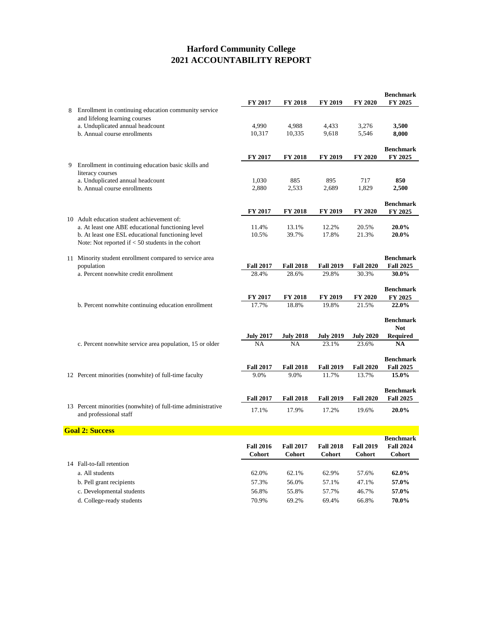|   |                                                              |                         |                         |                  |                  | <b>Benchmark</b>            |
|---|--------------------------------------------------------------|-------------------------|-------------------------|------------------|------------------|-----------------------------|
| 8 | Enrollment in continuing education community service         | FY 2017                 | <b>FY 2018</b>          | <b>FY 2019</b>   | <b>FY 2020</b>   | FY 2025                     |
|   | and lifelong learning courses                                |                         |                         |                  |                  |                             |
|   | a. Unduplicated annual headcount                             | 4,990                   | 4,988                   | 4,433            | 3,276            | 3,500                       |
|   | b. Annual course enrollments                                 | 10,317                  | 10,335                  | 9,618            | 5,546            | 8,000                       |
|   |                                                              |                         |                         |                  |                  |                             |
|   |                                                              | FY 2017                 | <b>FY 2018</b>          | FY 2019          | FY 2020          | <b>Benchmark</b><br>FY 2025 |
| 9 | Enrollment in continuing education basic skills and          |                         |                         |                  |                  |                             |
|   | literacy courses                                             |                         |                         |                  |                  |                             |
|   | a. Unduplicated annual headcount                             | 1,030                   | 885                     | 895              | 717              | 850                         |
|   | b. Annual course enrollments                                 | 2,880                   | 2,533                   | 2,689            | 1,829            | 2,500                       |
|   |                                                              |                         |                         |                  |                  | <b>Benchmark</b>            |
|   |                                                              | FY 2017                 | FY 2018                 | <b>FY 2019</b>   | FY 2020          | FY 2025                     |
|   | 10 Adult education student achievement of:                   |                         |                         |                  |                  |                             |
|   | a. At least one ABE educational functioning level            | 11.4%                   | 13.1%                   | 12.2%            | 20.5%            | 20.0%                       |
|   | b. At least one ESL educational functioning level            | 10.5%                   | 39.7%                   | 17.8%            | 21.3%            | 20.0%                       |
|   | Note: Not reported if $< 50$ students in the cohort          |                         |                         |                  |                  |                             |
|   | 11 Minority student enrollment compared to service area      |                         |                         |                  |                  | <b>Benchmark</b>            |
|   | population                                                   | <b>Fall 2017</b>        | <b>Fall 2018</b>        | <b>Fall 2019</b> | <b>Fall 2020</b> | <b>Fall 2025</b>            |
|   | a. Percent nonwhite credit enrollment                        | 28.4%                   | 28.6%                   | 29.8%            | 30.3%            | 30.0%                       |
|   |                                                              |                         |                         |                  |                  |                             |
|   |                                                              |                         |                         |                  |                  | <b>Benchmark</b>            |
|   | b. Percent nonwhite continuing education enrollment          | <b>FY 2017</b><br>17.7% | <b>FY 2018</b><br>18.8% | FY 2019<br>19.8% | FY 2020<br>21.5% | FY 2025<br>22.0%            |
|   |                                                              |                         |                         |                  |                  |                             |
|   |                                                              |                         |                         |                  |                  | <b>Benchmark</b>            |
|   |                                                              |                         |                         |                  |                  | <b>Not</b>                  |
|   |                                                              | <b>July 2017</b>        | <b>July 2018</b>        | <b>July 2019</b> | <b>July 2020</b> | <b>Required</b>             |
|   | c. Percent nonwhite service area population, 15 or older     | NA                      | NA                      | 23.1%            | 23.6%            | <b>NA</b>                   |
|   |                                                              |                         |                         |                  |                  | <b>Benchmark</b>            |
|   |                                                              | <b>Fall 2017</b>        | <b>Fall 2018</b>        | <b>Fall 2019</b> | <b>Fall 2020</b> | <b>Fall 2025</b>            |
|   | 12 Percent minorities (nonwhite) of full-time faculty        | 9.0%                    | 9.0%                    | 11.7%            | 13.7%            | 15.0%                       |
|   |                                                              |                         |                         |                  |                  | <b>Benchmark</b>            |
|   |                                                              | <b>Fall 2017</b>        | <b>Fall 2018</b>        | <b>Fall 2019</b> | <b>Fall 2020</b> | <b>Fall 2025</b>            |
|   | 13 Percent minorities (nonwhite) of full-time administrative |                         |                         |                  |                  |                             |
|   | and professional staff                                       | 17.1%                   | 17.9%                   | 17.2%            | 19.6%            | 20.0%                       |
|   |                                                              |                         |                         |                  |                  |                             |
|   | <b>Goal 2: Success</b>                                       |                         |                         |                  |                  | <b>Benchmark</b>            |
|   |                                                              | <b>Fall 2016</b>        | <b>Fall 2017</b>        | <b>Fall 2018</b> | <b>Fall 2019</b> | <b>Fall 2024</b>            |
|   |                                                              | <b>Cohort</b>           | Cohort                  | Cohort           | <b>Cohort</b>    | <b>Cohort</b>               |
|   | 14 Fall-to-fall retention                                    |                         |                         |                  |                  |                             |
|   | a. All students                                              | 62.0%                   | 62.1%                   | 62.9%            | 57.6%            | 62.0%                       |
|   | b. Pell grant recipients                                     | 57.3%                   | 56.0%                   | 57.1%            | 47.1%            | 57.0%                       |

c. Developmental students<br>d. College-ready students<br>d. College-ready students<br> $\begin{array}{cccccc} 56.8\% & 55.8\% & 57.7\% & 46.7\% & 57.0\% \\ 46.7\% & 69.2\% & 69.4\% & 66.8\% & 70.0\% \\ \end{array}$ d. College-ready students 70.9% 69.2% 69.4% 66.8% **70.0%**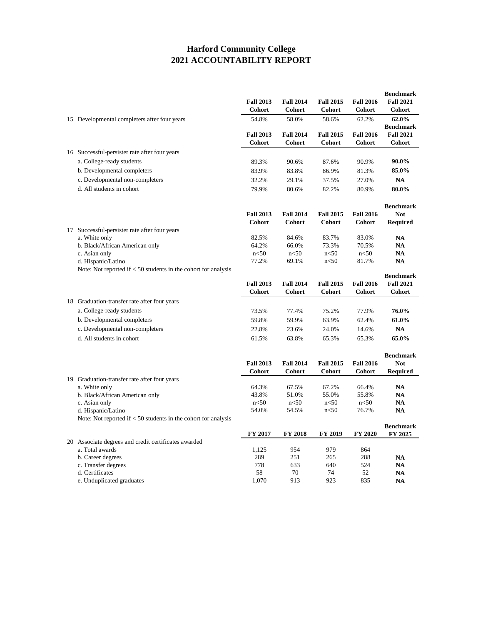|                                                                  | <b>Fall 2013</b><br><b>Cohort</b> | <b>Fall 2014</b><br>Cohort | <b>Fall 2015</b><br>Cohort | <b>Fall 2016</b><br><b>Cohort</b> | <b>Benchmark</b><br><b>Fall 2021</b><br>Cohort |
|------------------------------------------------------------------|-----------------------------------|----------------------------|----------------------------|-----------------------------------|------------------------------------------------|
| 15 Developmental completers after four years                     | 54.8%                             | 58.0%                      | 58.6%                      | 62.2%                             | 62.0%<br><b>Benchmark</b>                      |
|                                                                  | <b>Fall 2013</b><br>Cohort        | <b>Fall 2014</b><br>Cohort | <b>Fall 2015</b><br>Cohort | <b>Fall 2016</b><br>Cohort        | <b>Fall 2021</b><br>Cohort                     |
| 16 Successful-persister rate after four years                    |                                   |                            |                            |                                   |                                                |
| a. College-ready students                                        | 89.3%                             | 90.6%                      | 87.6%                      | 90.9%                             | 90.0%                                          |
| b. Developmental completers                                      | 83.9%                             | 83.8%                      | 86.9%                      | 81.3%                             | 85.0%                                          |
| c. Developmental non-completers                                  | 32.2%                             | 29.1%                      | 37.5%                      | 27.0%                             | <b>NA</b>                                      |
| d. All students in cohort                                        | 79.9%                             | 80.6%                      | 82.2%                      | 80.9%                             | 80.0%                                          |
|                                                                  |                                   |                            |                            |                                   | <b>Benchmark</b>                               |
|                                                                  | <b>Fall 2013</b>                  | <b>Fall 2014</b>           | <b>Fall 2015</b>           | <b>Fall 2016</b>                  | <b>Not</b>                                     |
|                                                                  | Cohort                            | Cohort                     | Cohort                     | Cohort                            | <b>Required</b>                                |
| 17 Successful-persister rate after four years                    |                                   |                            |                            |                                   |                                                |
| a. White only                                                    | 82.5%<br>64.2%                    | 84.6%<br>66.0%             | 83.7%<br>73.3%             | 83.0%<br>70.5%                    | <b>NA</b><br><b>NA</b>                         |
| b. Black/African American only<br>c. Asian only                  | $n<$ 50                           | $n<$ 50                    | $n<$ 50                    | $n<$ 50                           | <b>NA</b>                                      |
| d. Hispanic/Latino                                               | 77.2%                             | 69.1%                      | $n<$ 50                    | 81.7%                             | <b>NA</b>                                      |
| Note: Not reported if $< 50$ students in the cohort for analysis |                                   |                            |                            |                                   |                                                |
|                                                                  |                                   |                            |                            |                                   | <b>Benchmark</b>                               |
|                                                                  | <b>Fall 2013</b>                  | <b>Fall 2014</b>           | <b>Fall 2015</b>           | <b>Fall 2016</b>                  | <b>Fall 2021</b>                               |
|                                                                  | Cohort                            | <b>Cohort</b>              | <b>Cohort</b>              | <b>Cohort</b>                     | Cohort                                         |
| 18 Graduation-transfer rate after four years                     |                                   |                            |                            |                                   |                                                |
| a. College-ready students                                        | 73.5%                             | 77.4%                      | 75.2%                      | 77.9%                             | 76.0%                                          |
| b. Developmental completers                                      | 59.8%                             | 59.9%                      | 63.9%                      | 62.4%                             | 61.0%                                          |
| c. Developmental non-completers                                  | 22.8%                             | 23.6%                      | 24.0%                      | 14.6%                             | <b>NA</b>                                      |
| d. All students in cohort                                        | 61.5%                             | 63.8%                      | 65.3%                      | 65.3%                             | 65.0%                                          |
|                                                                  |                                   |                            |                            |                                   | <b>Benchmark</b>                               |
|                                                                  | <b>Fall 2013</b>                  | <b>Fall 2014</b>           | <b>Fall 2015</b>           | <b>Fall 2016</b>                  | <b>Not</b>                                     |
|                                                                  | <b>Cohort</b>                     | Cohort                     | Cohort                     | <b>Cohort</b>                     | <b>Required</b>                                |
| 19 Graduation-transfer rate after four years                     |                                   |                            |                            |                                   |                                                |
| a. White only                                                    | 64.3%                             | 67.5%                      | 67.2%                      | 66.4%                             | NA                                             |
| b. Black/African American only                                   | 43.8%                             | 51.0%                      | 55.0%                      | 55.8%                             | <b>NA</b>                                      |
| c. Asian only                                                    | $n<$ 50                           | $n<$ 50                    | $n<$ 50                    | $n<$ 50                           | <b>NA</b>                                      |
| d. Hispanic/Latino                                               | 54.0%                             | 54.5%                      | $n<$ 50                    | 76.7%                             | NA                                             |
| Note: Not reported if $<$ 50 students in the cohort for analysis |                                   |                            |                            |                                   | <b>Benchmark</b>                               |
|                                                                  | <b>FY 2017</b>                    | <b>FY 2018</b>             | <b>FY 2019</b>             | <b>FY 2020</b>                    | FY 2025                                        |
| 20 Associate degrees and credit certificates awarded             |                                   |                            |                            |                                   |                                                |
| a. Total awards                                                  | 1,125                             | 954                        | 979                        | 864                               |                                                |
| b. Career degrees                                                | 289                               | 251                        | 265                        | 288                               | <b>NA</b>                                      |
| c. Transfer degrees                                              | 778                               | 633                        | 640                        | 524                               | <b>NA</b>                                      |
| d. Certificates                                                  | 58                                | 70                         | 74                         | 52                                | NA                                             |
| e. Unduplicated graduates                                        | 1,070                             | 913                        | 923                        | 835                               | <b>NA</b>                                      |